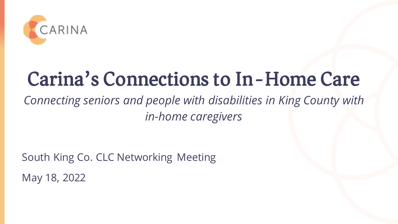

# Carina's Connections to In-Home Care

### *Connecting seniors and people with disabilities in King County with in-home caregivers*

South King Co. CLC Networking Meeting May 18, 2022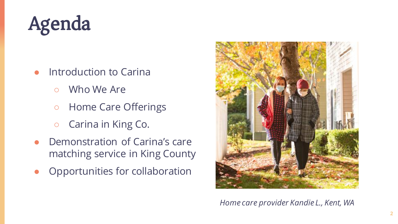

- Introduction to Carina
	- Who We Are
	- Home Care Offerings
	- Carina in King Co.
- Demonstration of Carina's care matching service in King County
- Opportunities for collaboration



*Home care provider Kandie L., Kent, WA*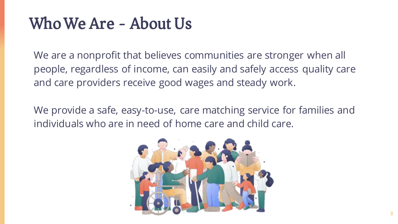### Who We Are - About Us

We are a nonprofit that believes communities are stronger when all people, regardless of income, can easily and safely access quality care and care providers receive good wages and steady work.

We provide a safe, easy-to-use, care matching service for families and individuals who are in need of home care and child care.

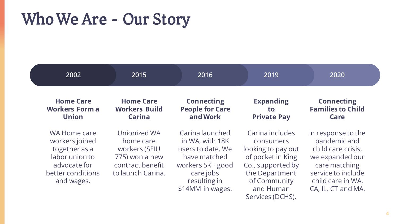### Who We Are - Our Story

| 2002                                                                                                                 | 2015                                                                                                  | 2016                                                                                                                                         | 2019                                                                                                                                        | 2020                                                                                                                                                          |
|----------------------------------------------------------------------------------------------------------------------|-------------------------------------------------------------------------------------------------------|----------------------------------------------------------------------------------------------------------------------------------------------|---------------------------------------------------------------------------------------------------------------------------------------------|---------------------------------------------------------------------------------------------------------------------------------------------------------------|
| <b>Home Care</b><br><b>Workers Forma</b><br><b>Union</b>                                                             | <b>Home Care</b><br><b>Workers Build</b><br><b>Carina</b>                                             | <b>Connecting</b><br><b>People for Care</b><br>and Work                                                                                      | <b>Expanding</b><br>to<br><b>Private Pay</b>                                                                                                | <b>Connecting</b><br><b>Families to Child</b><br>Care                                                                                                         |
| WA Home care<br>workers joined<br>together as a<br>labor union to<br>advocate for<br>better conditions<br>and wages. | Unionized WA<br>home care<br>workers (SEIU<br>775) won a new<br>contract benefit<br>to launch Carina. | Carina launched<br>in WA, with 18K<br>users to date. We<br>have matched<br>workers 5K+ good<br>care jobs<br>resulting in<br>\$14MM in wages. | Carina includes<br>consumers<br>looking to pay out<br>of pocket in King<br>Co., supported by<br>the Department<br>of Community<br>and Human | In response to the<br>pandemic and<br>child care crisis,<br>we expanded our<br>care matching<br>service to include<br>child care in WA,<br>CA, IL, CT and MA. |

Services (DCHS).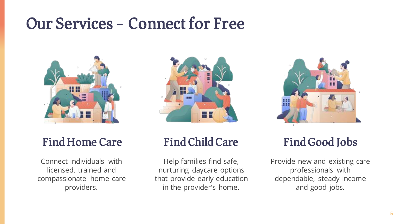### Our Services - Connect for Free



# Find Home Care

Connect individuals with licensed, trained and compassionate home care providers.



### Find Child Care

Help families find safe, nurturing daycare options that provide early education in the provider's home.



### Find Good Jobs

Provide new and existing care professionals with dependable, steady income and good jobs.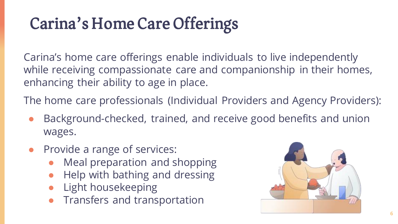## Carina's Home Care Offerings

Carina's home care offerings enable individuals to live independently while receiving compassionate care and companionship in their homes, enhancing their ability to age in place.

The home care professionals (Individual Providers and Agency Providers):

- Background-checked, trained, and receive good benefits and union wages.
- Provide a range of services:
	- Meal preparation and shopping
	- Help with bathing and dressing
	- **Light housekeeping**
	- Transfers and transportation

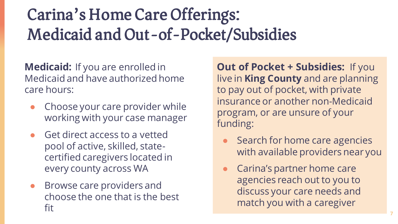## Carina's Home Care Offerings: Medicaid and Out-of-Pocket/Subsidies

**Medicaid:** If you are enrolled in Medicaid and have authorized home care hours:

- Choose your care provider while working with your case manager
- Get direct access to a vetted pool of active, skilled, statecertified caregivers located in every county across WA
- Browse care providers and choose the one that is the best fit

**Out of Pocket + Subsidies:** If you live in **King County** and are planning to pay out of pocket, with private insurance or another non-Medicaid program, or are unsure of your funding:

- Search for home care agencies with available providers near you
- Carina's partner home care agencies reach out to you to discuss your care needs and match you with a caregiver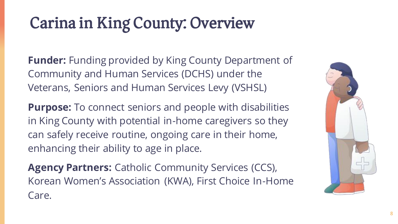## Carina in King County: Overview

**Funder:** Funding provided by King County Department of Community and Human Services (DCHS) under the Veterans, Seniors and Human Services Levy (VSHSL)

**Purpose:** To connect seniors and people with disabilities in King County with potential in-home caregivers so they can safely receive routine, ongoing care in their home, enhancing their ability to age in place.

**Agency Partners:** Catholic Community Services (CCS), Korean Women's Association (KWA), First Choice In-Home Care.

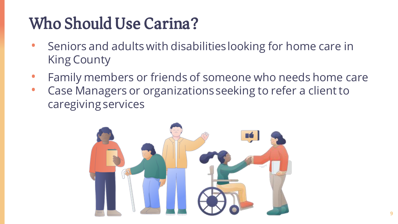## Who Should Use Carina?

- Seniors and adults with disabilities looking for home care in King County
- Family members or friends of someone who needs home care
- Case Managers or organizations seeking to refer a client to caregiving services

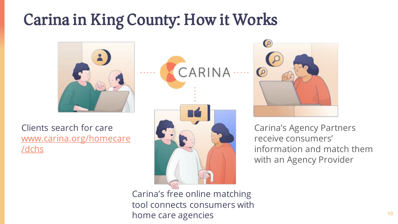## Carina in King County: How it Works



Clients search for care [www.carina.org/homecare](http://www.carina.org/homecare/dchs) /dchs





Carina's Agency Partners receive consumers' information and match them with an Agency Provider

Carina's free online matching tool connects consumers with home care agencies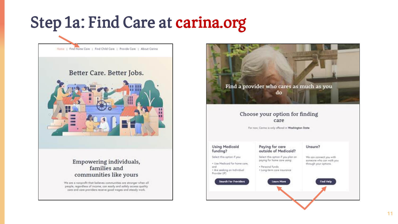## Step 1a: Find Care at carina.org



### Better Care. Better Jobs.



### Empowering individuals, families and communities like yours

We are a nonprofit that believes communities are stronger when all people, regardless of income, can easily and safely access quality core and care providers receive good wages and steady work.

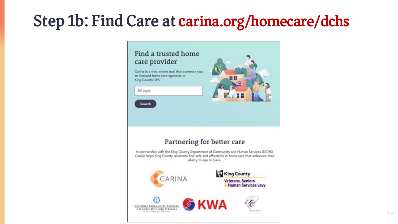## Step 1b: Find Care at carina.org/homecare/dchs

### Find a trusted home care provider

Carina is a free, online tool that connects you to licensed home care agencies in King County, WA.

#### ZIP code

Search



### Partnering for better care

In partnership with the King County Department of Community and Human Services (DCHS), Carina helps King County residents find safe and affordable in-home care that enhances their ability to age in place.

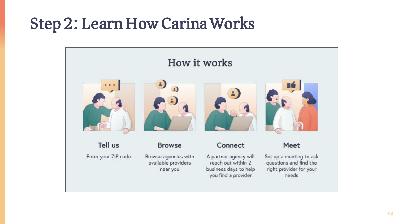### Step 2: Learn How Carina Works

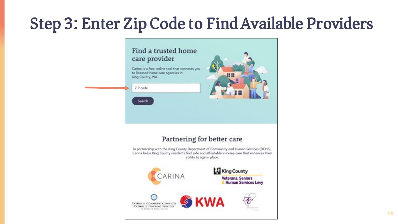## Step 3: Enter Zip Code to Find Available Providers

### Find a trusted home care provider

Carina is a free, online tool that connects you to licensed home care agencies in King County, WA.

#### ZIP code

Search



### Partnering for better care

In partnership with the King County Department of Community and Human Services (DCHS), Carina helps King County residents find safe and affordable in-home care that enhances their ability to age in place.

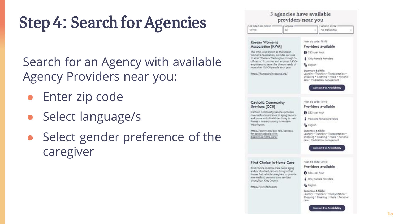# Step 4: Search for Agencies

Search for an Agency with available Agency Providers near you:

- Enter zip code
- Select language/s
- Select gender preference of the caregiver

| Do code of core recorent -                                                                                                                                                                                                                                                             |                                                                                                                                                                                                 |                                                                                                                                                                            | Gender of provider              |  |  |
|----------------------------------------------------------------------------------------------------------------------------------------------------------------------------------------------------------------------------------------------------------------------------------------|-------------------------------------------------------------------------------------------------------------------------------------------------------------------------------------------------|----------------------------------------------------------------------------------------------------------------------------------------------------------------------------|---------------------------------|--|--|
| <b>99198</b>                                                                                                                                                                                                                                                                           | A31                                                                                                                                                                                             |                                                                                                                                                                            | No oreference                   |  |  |
| Korean Women's                                                                                                                                                                                                                                                                         |                                                                                                                                                                                                 | Near zio code: 08108                                                                                                                                                       |                                 |  |  |
| Association [KWA]                                                                                                                                                                                                                                                                      |                                                                                                                                                                                                 |                                                                                                                                                                            | Providers available             |  |  |
| The KWA, also known as the Korean<br>Women's Association, provides services<br>to all of Western Washington through 16<br>offices in 15 counties and employs 1,400+<br>employees to serve the diverse needs of<br>more than 10,000 people each year.<br>https://homecare.kwacares.org/ |                                                                                                                                                                                                 | 8 \$32+ per hour                                                                                                                                                           |                                 |  |  |
|                                                                                                                                                                                                                                                                                        |                                                                                                                                                                                                 |                                                                                                                                                                            | Only Female Providers           |  |  |
|                                                                                                                                                                                                                                                                                        |                                                                                                                                                                                                 | <b>B<sub>o</sub></b> English                                                                                                                                               |                                 |  |  |
|                                                                                                                                                                                                                                                                                        |                                                                                                                                                                                                 | Expertise & Skills:<br>Laundry - Transfers - Transportation -<br>Shopping . Cleaning . Meals . Personal<br>care . Medication management<br><b>Contact For Availability</b> |                                 |  |  |
| Catholic Community                                                                                                                                                                                                                                                                     |                                                                                                                                                                                                 | Near zip code: 98198                                                                                                                                                       | Providers available             |  |  |
|                                                                                                                                                                                                                                                                                        | Services [CCS]<br>Catholic Community Services provides<br>non-medical assistance to aging persons.<br>and those with disabilities living in their                                               |                                                                                                                                                                            | @ \$32+ per hour                |  |  |
|                                                                                                                                                                                                                                                                                        |                                                                                                                                                                                                 |                                                                                                                                                                            | Male and female providers       |  |  |
| homes - in every county in western<br>Washington.                                                                                                                                                                                                                                      |                                                                                                                                                                                                 | <b>Pa</b> English                                                                                                                                                          |                                 |  |  |
| https://ocsww.org/get-helg/services-<br>for-seniors-becole-with<br>disabilities/home-care/                                                                                                                                                                                             |                                                                                                                                                                                                 | Expertise & Skills:<br>Laundry + Transfers + Transportation +<br>Shopping . Cleaning . Meals . Personal<br>care . Medication management                                    |                                 |  |  |
|                                                                                                                                                                                                                                                                                        |                                                                                                                                                                                                 |                                                                                                                                                                            | <b>Contact For Availability</b> |  |  |
|                                                                                                                                                                                                                                                                                        | First Choice In-Home Care                                                                                                                                                                       | Near zip code: 98198                                                                                                                                                       |                                 |  |  |
|                                                                                                                                                                                                                                                                                        | First Choice In-Home Care helps aging<br>and/or disabled persons living in their<br>homes find reliable caregivers to provide<br>non-medical, personal care services<br>throughout King County. |                                                                                                                                                                            | Providers available             |  |  |
|                                                                                                                                                                                                                                                                                        |                                                                                                                                                                                                 |                                                                                                                                                                            | 8 \$36+ per hour                |  |  |
|                                                                                                                                                                                                                                                                                        |                                                                                                                                                                                                 |                                                                                                                                                                            | <b>Chiv Female Providers</b>    |  |  |
| https://www.fclhc.com                                                                                                                                                                                                                                                                  |                                                                                                                                                                                                 | <b>Da</b> English                                                                                                                                                          |                                 |  |  |
|                                                                                                                                                                                                                                                                                        |                                                                                                                                                                                                 | Expertise & Skills:<br>Laundry - Transfers - Transportation -<br>Shooping . Cleaning . Meals . Personal<br>care                                                            |                                 |  |  |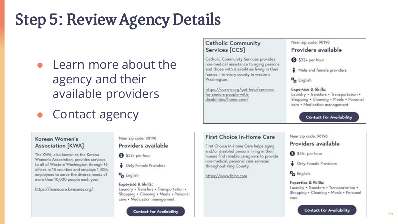## Step 5: Review Agency Details

- Learn more about the agency and their available providers
- Contact agency

### Korean Women's **Association [KWA]**

The KWA, also known as the Korean Women's Association, provides services to all of Western Washington through 16 offices in 15 counties and employs 1,400+ employees to serve the diverse needs of more than 10,000 people each year.

https://homecare.kwacares.org/

### Near zip code: 98198 Providers available

S32+ per hour

- **•** Only Female Providers
- **D**<sub>n</sub> English

#### Expertise & Skills: Laundry . Transfers . Transportation . Shopping . Cleaning . Meals . Personal care . Medication management

**Contact For Availability** 

### **Catholic Community** Services [CCS]

Catholic Community Services provides non-medical assistance to aging persons and those with disabilities living in their homes - in every county in western Washington.

https://ccsww.org/get-help/servicesfor-seniors-people-withdisabilities/home-care/

#### Near zip code: 98198

### Providers available

S32+ per hour

Male and female providers

**D**<sub>a</sub> English

**Expertise & Skills:** Laundry . Transfers . Transportation . Shopping . Cleaning . Meals . Personal care . Medication management

**Contact For Availability** 

### First Choice In-Home Care

First Choice In-Home Care helps aging and/or disabled persons living in their homes find reliable caregivers to provide non-medical, personal care services throughout King County.

https://www.fcihc.com

#### Near zip code: 98198

Providers available

S36+ per hour

**S** Only Female Providers

**D**<sub>n</sub> English

#### Expertise & Skills: Laundry . Transfers . Transportation . Shopping . Cleaning . Meals . Personal care

**Contact For Availability**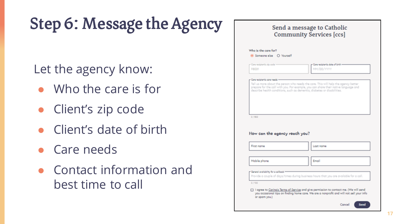# Step 6: Message the Agency

Let the agency know:

- Who the care is for
- Client's zip code
- Client's date of birth
- Care needs
- Contact information and best time to call

| Care recipient's zip code<br>98031          | Core recipient's date of birth -<br>MM/DO/YYYY                                                                                                                                                                                                       |
|---------------------------------------------|------------------------------------------------------------------------------------------------------------------------------------------------------------------------------------------------------------------------------------------------------|
|                                             | Tell us more obout the person who needs the care. This will help the agency better<br>prepare for the call with you. For example, you can share their native language and<br>describe health conditions, such as dementia, diabetes or disabilities. |
| 0/800                                       |                                                                                                                                                                                                                                                      |
| How can the agency reach you?<br>First name | Lost nome                                                                                                                                                                                                                                            |
| Mobile phone                                | Email                                                                                                                                                                                                                                                |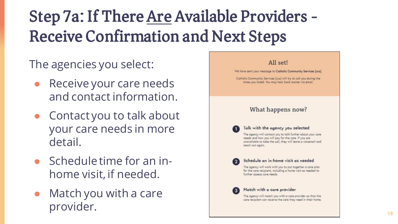## Step 7a: If There Are Available Providers - Receive Confirmation and Next Steps

### The agencies you select:

- Receive your care needs and contact information.
- Contact you to talk about your care needs in more detail.
- $\bullet$  Schedule time for an inhome visit, if needed.
- $\bullet$  Match you with a care provider.

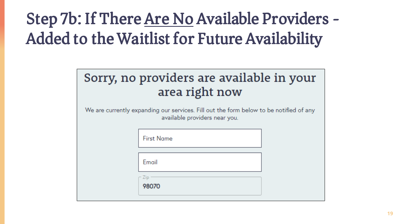## Step 7b: If There Are No Available Providers - Added to the Waitlist for Future Availability

|  | Sorry, no providers are available in your |  |  |
|--|-------------------------------------------|--|--|
|  | area right now                            |  |  |

We are currently expanding our services. Fill out the form below to be notified of any available providers near you.

| <b>First Name</b> |  |
|-------------------|--|
| Email             |  |
| Zip<br>98070      |  |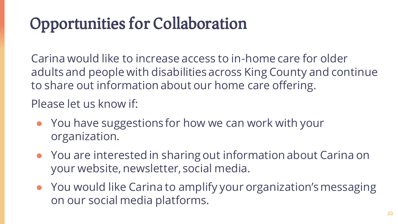## Opportunities for Collaboration

Carina would like to increase access to in-home care for older adults and people with disabilities across King County and continue to share out information about our home care offering.

Please let us know if:

- You have suggestions for how we can work with your organization.
- You are interested in sharing out information about Carina on your website, newsletter, social media.
- You would like Carina to amplify your organization's messaging on our social media platforms.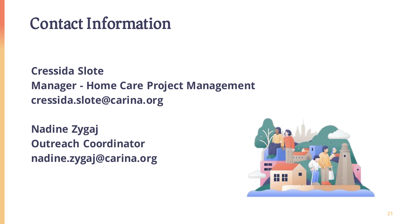### Contact Information

**Cressida Slote Manager - Home Care Project Management cressida.slote@carina.org**

**Nadine Zygaj Outreach Coordinator nadine.zygaj@carina.org**